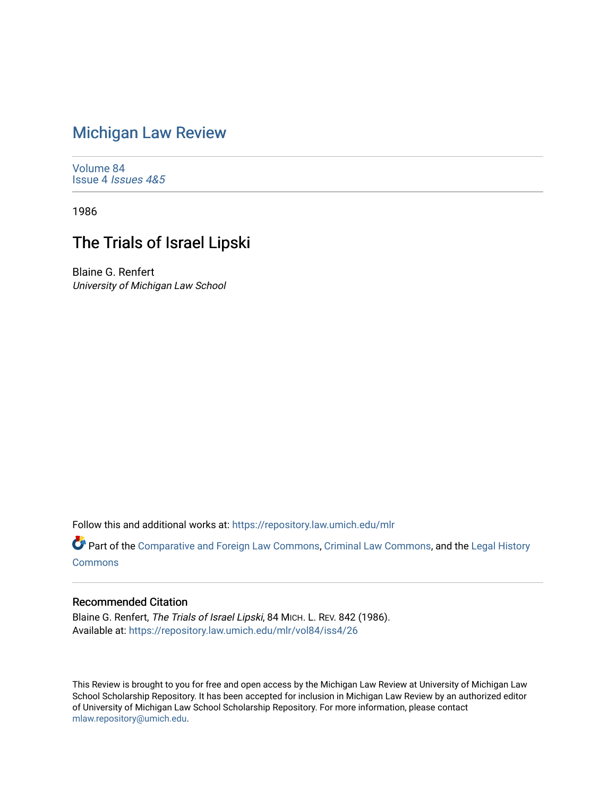## [Michigan Law Review](https://repository.law.umich.edu/mlr)

[Volume 84](https://repository.law.umich.edu/mlr/vol84) Issue 4 [Issues 4&5](https://repository.law.umich.edu/mlr/vol84/iss4) 

1986

## The Trials of Israel Lipski

Blaine G. Renfert University of Michigan Law School

Follow this and additional works at: [https://repository.law.umich.edu/mlr](https://repository.law.umich.edu/mlr?utm_source=repository.law.umich.edu%2Fmlr%2Fvol84%2Fiss4%2F26&utm_medium=PDF&utm_campaign=PDFCoverPages) 

Part of the [Comparative and Foreign Law Commons,](http://network.bepress.com/hgg/discipline/836?utm_source=repository.law.umich.edu%2Fmlr%2Fvol84%2Fiss4%2F26&utm_medium=PDF&utm_campaign=PDFCoverPages) [Criminal Law Commons,](http://network.bepress.com/hgg/discipline/912?utm_source=repository.law.umich.edu%2Fmlr%2Fvol84%2Fiss4%2F26&utm_medium=PDF&utm_campaign=PDFCoverPages) and the [Legal History](http://network.bepress.com/hgg/discipline/904?utm_source=repository.law.umich.edu%2Fmlr%2Fvol84%2Fiss4%2F26&utm_medium=PDF&utm_campaign=PDFCoverPages) [Commons](http://network.bepress.com/hgg/discipline/904?utm_source=repository.law.umich.edu%2Fmlr%2Fvol84%2Fiss4%2F26&utm_medium=PDF&utm_campaign=PDFCoverPages)

## Recommended Citation

Blaine G. Renfert, The Trials of Israel Lipski, 84 MICH. L. REV. 842 (1986). Available at: [https://repository.law.umich.edu/mlr/vol84/iss4/26](https://repository.law.umich.edu/mlr/vol84/iss4/26?utm_source=repository.law.umich.edu%2Fmlr%2Fvol84%2Fiss4%2F26&utm_medium=PDF&utm_campaign=PDFCoverPages) 

This Review is brought to you for free and open access by the Michigan Law Review at University of Michigan Law School Scholarship Repository. It has been accepted for inclusion in Michigan Law Review by an authorized editor of University of Michigan Law School Scholarship Repository. For more information, please contact [mlaw.repository@umich.edu.](mailto:mlaw.repository@umich.edu)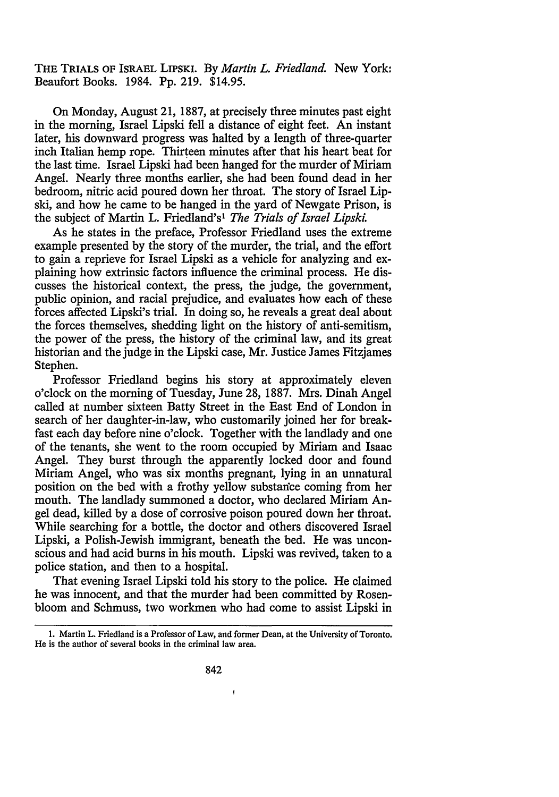THE TRIALS OF ISRAEL LIPSKI. By *Martin* L. *Friedland.* New York: Beaufort Books. 1984. Pp. 219. \$14.95.

On Monday, August 21, 1887, at precisely three minutes past eight in the morning, Israel Lipski fell a distance of eight feet. An instant later, his downward progress was halted by a length of three-quarter inch Italian hemp rope. Thirteen minutes after that his heart beat for the last time. Israel Lipski had been hanged for the murder of Miriam Angel. Nearly three months earlier, she had been found dead in her bedroom, nitric acid poured down her throat. The story of Israel Lipski, and how he came to be hanged in the yard of Newgate Prison, is the subject of Martin L. Friedland's1 *The Trials of Israel Lipski.* 

As he states in the preface, Professor Friedland uses the extreme example presented by the story of the murder, the trial, and the effort to gain a reprieve for Israel Lipski as a vehicle for analyzing and explaining how extrinsic factors influence the criminal process. He discusses the historical context, the press, the judge, the government, public opinion, and racial prejudice, and evaluates how each of these forces affected Lipski's trial. In doing so, he reveals a great deal about the forces themselves, shedding light on the history of anti-semitism, the power of the press, the history of the criminal law, and its great historian and the judge in the Lipski case, Mr. Justice James Fitzjames Stephen.

Professor Friedland begins his story at approximately eleven o'clock on the morning of Tuesday, June 28, 1887. Mrs. Dinah Angel called at number sixteen Batty Street in the East End of London in search of her daughter-in-law, who customarily joined her for breakfast each day before nine o'clock. Together with the landlady and one of the tenants, she went to the room occupied by Miriam and Isaac Angel. They burst through the apparently locked door and found Miriam Angel, who was six months pregnant, lying in an unnatural position on the bed with a frothy yellow substance coming from her mouth. The landlady summoned a doctor, who declared Miriam Angel dead, killed by a dose of corrosive poison poured down her throat. While searching for a bottle, the doctor and others discovered Israel Lipski, a Polish-Jewish immigrant, beneath the bed. He was unconscious and had acid burns in his mouth. Lipski was revived, taken to a police station, and then to a hospital.

That evening Israel Lipski told his story to the police. He claimed he was innocent, and that the murder had been committed by Rosenbloom and Schmuss, two workmen who had come to assist Lipski in

 $\mathbf{I}$ 

<sup>1.</sup> Martin L. Friedland is a Professor of Law, and former Dean, at the University of Toronto. He is the author of several books in the criminal law area.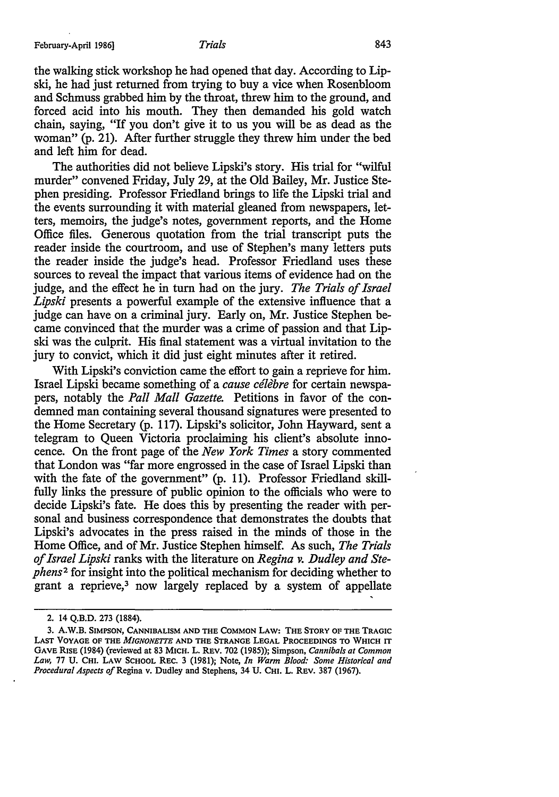the walking stick workshop he had opened that day. According to Lipski, he had just returned from trying to buy a vice when Rosenbloom and Schmuss grabbed him by the throat, threw him to the ground, and forced acid into his mouth. They then demanded his gold watch chain, saying, "If you don't give it to us you will be as dead as the woman" (p. 21). After further struggle they threw him under the bed and left him for dead.

The authorities did not believe Lipski's story. His trial for "wilful murder" convened Friday, July 29, at the Old Bailey, Mr. Justice Stephen presiding. Professor Friedland brings to life the Lipski trial and the events surrounding it with material gleaned from newspapers, letters, memoirs, the judge's notes, government reports, and the Home Office files. Generous quotation from the trial transcript puts the reader inside the courtroom, and use of Stephen's many letters puts the reader inside the judge's head. Professor Friedland uses these sources to reveal the impact that various items of evidence had on the judge, and the effect he in turn had on the jury. *The Trials of Israel Lipski* presents a powerful example of the extensive influence that a judge can have on a criminal jury. Early on, Mr. Justice Stephen became convinced that the murder was a crime of passion and that Lipski was the culprit. His final statement was a virtual invitation to the jury to convict, which it did just eight minutes after it retired.

With Lipski's conviction came the effort to gain a reprieve for him. Israel Lipski became something of a *cause cele'bre* for certain newspapers, notably the *Pall Mall Gazette.* Petitions in favor of the condemned man containing several thousand signatures were presented to the Home Secretary (p. 117). Lipski's solicitor, John Hayward, sent a telegram to Queen Victoria proclaiming his client's absolute innocence. On the front page of the *New York Times* a story commented that London was "far more engrossed in the case of Israel Lipski than with the fate of the government" (p. 11). Professor Friedland skillfully links the pressure of public opinion to the officials who were to decide Lipski's fate. He does this by presenting the reader with personal and business correspondence that demonstrates the doubts that Lipski's advocates in the press raised in the minds of those in the Home Office, and of Mr. Justice Stephen himself. As such, *The Trials of Israel Lipski* ranks with the literature on *Regina v. Dudley and Stephens2* for insight into the political mechanism for deciding whether to grant a reprieve,<sup>3</sup> now largely replaced by a system of appellate

<sup>2. 14</sup> Q.B.D. 273 (1884).

<sup>3.</sup> A.W.B. SIMPSON, CANNIBALISM AND THE COMMON LAW: THE STORY OF THE TRAGIC LAST VOYAGE OF THE *MIGNONE1TE* AND THE STRANGE LEGAL PROCEEDINGS TO WHICH IT GAVE RISE (1984) (reviewed at 83 MICH. L. REV. 702 (1985)); Simpson, *Cannibals at Common Law,* 77 U. CHI. LAW SCHOOL REC. 3 (1981); Note, *In Warm Blood: Some Historical and Procedural Aspects of* Regina v. Dudley and Stephens, 34 U. CHI. L. REV. 387 (1967).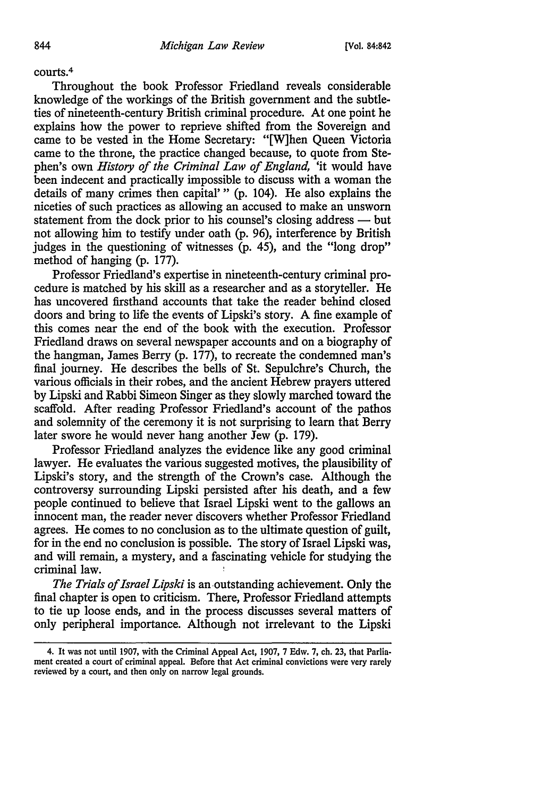## courts.4

Throughout the book Professor Friedland reveals considerable knowledge of the workings of the British government and the subtleties of nineteenth-century British criminal procedure. At one point he explains how the power to reprieve shifted from the Sovereign and came to be vested in the Home Secretary: "[W]hen Queen Victoria came to the throne, the practice changed because, to quote from Stephen's own *History of the Criminal Law of England,* 'it would have been indecent and practically impossible to discuss with a woman the details of many crimes then capital' " (p. 104). He also explains the niceties of such practices as allowing an accused to make an unsworn statement from the dock prior to his counsel's closing address  $-$  but not allowing him to testify under oath (p. 96), interference by British judges in the questioning of witnesses (p. 45), and the "long drop" method of hanging (p. 177).

Professor Friedland's expertise in nineteenth-century criminal procedure is matched by his skill as a researcher and as a storyteller. He has uncovered firsthand accounts that take the reader behind closed doors and bring to life the events of Lipski's story. A fine example of this comes near the end of the book with the execution. Professor Friedland draws on several newspaper accounts and on a biography of the hangman, James Berry (p. 177), to recreate the condemned man's final journey. He describes the bells of St. Sepulchre's Church, the various officials in their robes, and the ancient Hebrew prayers uttered by Lipski and Rabbi Simeon Singer as they slowly marched toward the scaffold. After reading Professor Friedland's account of the pathos and solemnity of the ceremony it is not surprising to learn that Berry later swore he would never hang another Jew (p. 179).

Professor Friedland analyzes the evidence like any good criminal lawyer. He evaluates the various suggested motives, the plausibility of Lipski's story, and the strength of the Crown's case. Although the controversy surrounding Lipski persisted after his death, and a few people continued to believe that Israel Lipski went to the gallows an innocent man, the reader never discovers whether Professor Friedland agrees. He comes to no conclusion as to the ultimate question of guilt, for in the end no conclusion is possible. The story of Israel Lipski was, and will remain, a mystery, and a fascinating vehicle for studying the criminal law.

*The Trials of Israel Lipski* is an outstanding achievement. Only the final chapter is open to criticism. There, Professor Friedland attempts to tie up loose ends, and in the process discusses several matters of only peripheral importance. Although not irrelevant to the Lipski

<sup>4.</sup> It was not until 1907, with the Criminal Appeal Act, 1907, 7 Edw. 7, ch. 23, that Parliament created a court of criminal appeal. Before that Act criminal convictions were very rarely reviewed by a court, and then only on narrow legal grounds.